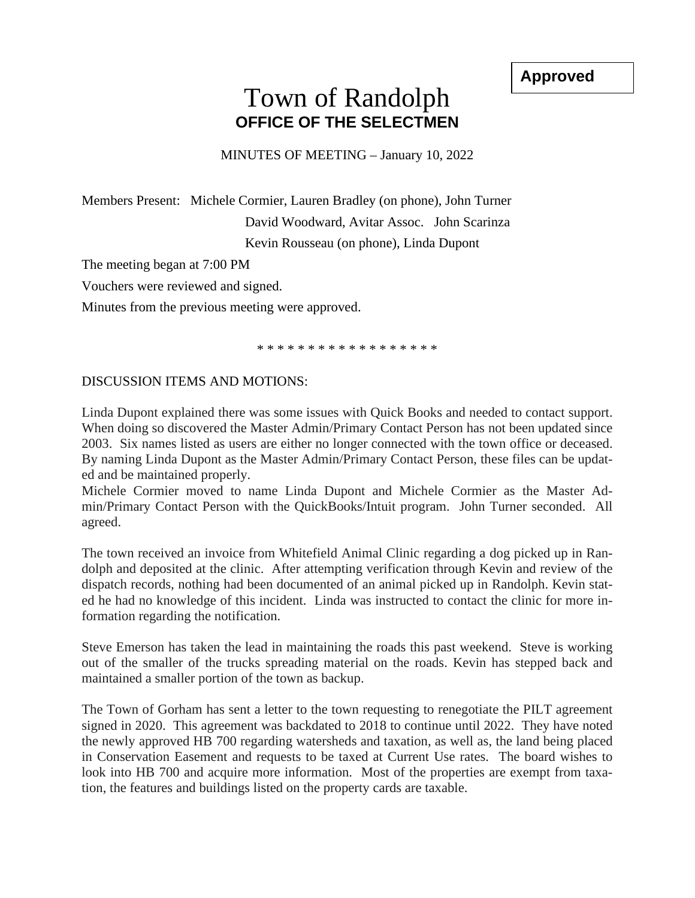**Approved**

## Town of Randolph **OFFICE OF THE SELECTMEN**

MINUTES OF MEETING – January 10, 2022

Members Present: Michele Cormier, Lauren Bradley (on phone), John Turner David Woodward, Avitar Assoc. John Scarinza Kevin Rousseau (on phone), Linda Dupont

The meeting began at 7:00 PM

Vouchers were reviewed and signed.

Minutes from the previous meeting were approved.

\* \* \* \* \* \* \* \* \* \* \* \* \* \* \* \* \* \*

## DISCUSSION ITEMS AND MOTIONS:

Linda Dupont explained there was some issues with Quick Books and needed to contact support. When doing so discovered the Master Admin/Primary Contact Person has not been updated since 2003. Six names listed as users are either no longer connected with the town office or deceased. By naming Linda Dupont as the Master Admin/Primary Contact Person, these files can be updated and be maintained properly.

Michele Cormier moved to name Linda Dupont and Michele Cormier as the Master Admin/Primary Contact Person with the QuickBooks/Intuit program. John Turner seconded. All agreed.

The town received an invoice from Whitefield Animal Clinic regarding a dog picked up in Randolph and deposited at the clinic. After attempting verification through Kevin and review of the dispatch records, nothing had been documented of an animal picked up in Randolph. Kevin stated he had no knowledge of this incident. Linda was instructed to contact the clinic for more information regarding the notification.

Steve Emerson has taken the lead in maintaining the roads this past weekend. Steve is working out of the smaller of the trucks spreading material on the roads. Kevin has stepped back and maintained a smaller portion of the town as backup.

The Town of Gorham has sent a letter to the town requesting to renegotiate the PILT agreement signed in 2020. This agreement was backdated to 2018 to continue until 2022. They have noted the newly approved HB 700 regarding watersheds and taxation, as well as, the land being placed in Conservation Easement and requests to be taxed at Current Use rates. The board wishes to look into HB 700 and acquire more information. Most of the properties are exempt from taxation, the features and buildings listed on the property cards are taxable.